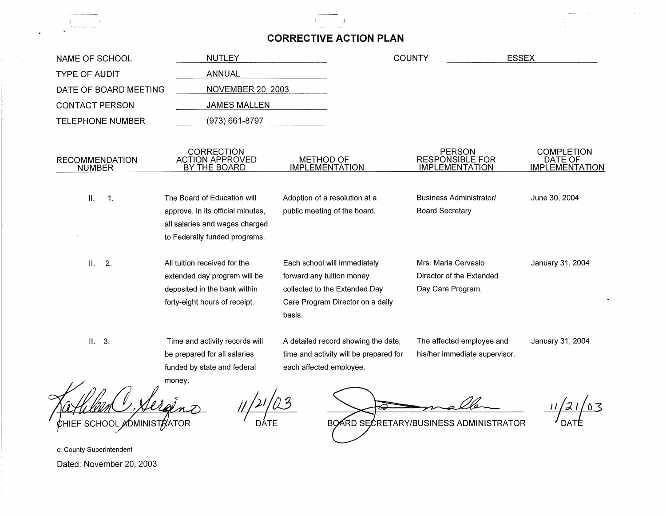## **CORRECTIVE ACTION PLAN**

| NAME OF SCHOOL                         | <b>NUTLEY</b>                                                                                                                 |                                                                                                      |                                                                               | <b>COUNTY</b>                                                        | <b>ESSEX</b>                                          |
|----------------------------------------|-------------------------------------------------------------------------------------------------------------------------------|------------------------------------------------------------------------------------------------------|-------------------------------------------------------------------------------|----------------------------------------------------------------------|-------------------------------------------------------|
| <b>TYPE OF AUDIT</b>                   | <b>ANNUAL</b>                                                                                                                 |                                                                                                      |                                                                               |                                                                      |                                                       |
| DATE OF BOARD MEETING                  | <b>NOVEMBER 20, 2003</b>                                                                                                      |                                                                                                      |                                                                               |                                                                      |                                                       |
| <b>CONTACT PERSON</b>                  | <b>JAMES MALLEN</b>                                                                                                           |                                                                                                      |                                                                               |                                                                      |                                                       |
| <b>TELEPHONE NUMBER</b>                | (973) 661-8797                                                                                                                |                                                                                                      |                                                                               |                                                                      |                                                       |
| <b>RECOMMENDATION</b><br><b>NUMBER</b> | <b>CORRECTION</b><br><b>ACTION APPROVED</b><br>BY THE BOARD                                                                   | <b>METHOD OF</b><br><b>IMPLEMENTATION</b>                                                            |                                                                               | <b>PERSON</b><br><b>RESPONSIBLE FOR</b><br><b>IMPLEMENTATION</b>     | <b>COMPLETION</b><br>DATE OF<br><b>IMPLEMENTATION</b> |
| II.<br>$\mathbf{1}$ .                  | The Board of Education will<br>approve, in its official minutes,                                                              | Adoption of a resolution at a<br>public meeting of the board.                                        |                                                                               | <b>Business Administrator/</b><br><b>Board Secretary</b>             | June 30, 2004                                         |
|                                        | all salaries and wages charged<br>to Federally funded programs.                                                               |                                                                                                      |                                                                               |                                                                      |                                                       |
| $II$ .<br>$\overline{2}$ .             | All tuition received for the<br>extended day program will be<br>deposited in the bank within<br>forty-eight hours of receipt. | Each school will immediately<br>forward any tuition money<br>collected to the Extended Day<br>basis. | Care Program Director on a daily                                              | Mrs. Maria Cervasio<br>Director of the Extended<br>Day Care Program. | January 31, 2004                                      |
| II. 3.<br>$\Omega$ $\Omega$            | Time and activity records will<br>be prepared for all salaries<br>funded by state and federal<br>money.                       | each affected employee.                                                                              | A detailed record showing the date,<br>time and activity will be prepared for | The affected employee and<br>his/her immediate supervisor.           | January 31, 2004                                      |

gène CHIEF SCHOOL ADMINISTRATOR

*1¢(03*  DATE

ଇ

11/21/03  $\frac{11}{\sqrt{21/63}}$ 

c: County Superintendent Dated: November 20, 2003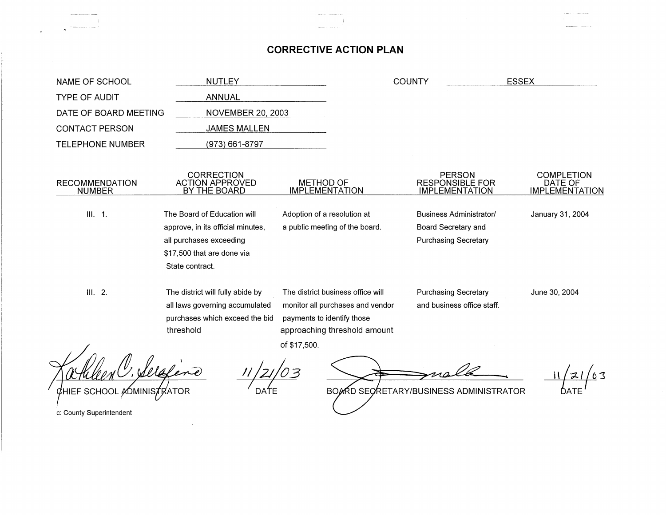## **CORRECTIVE ACTION PLAN**

| NAME OF SCHOOL                             | <b>NUTLEY</b>                                                                                        |                                                                                                     | <b>COUNTY</b>                                                    | <b>ESSEX</b>                                          |  |
|--------------------------------------------|------------------------------------------------------------------------------------------------------|-----------------------------------------------------------------------------------------------------|------------------------------------------------------------------|-------------------------------------------------------|--|
| <b>TYPE OF AUDIT</b>                       | <b>ANNUAL</b>                                                                                        |                                                                                                     |                                                                  |                                                       |  |
| DATE OF BOARD MEETING                      | <b>NOVEMBER 20, 2003</b>                                                                             |                                                                                                     |                                                                  |                                                       |  |
| <b>CONTACT PERSON</b>                      | <b>JAMES MALLEN</b>                                                                                  |                                                                                                     |                                                                  |                                                       |  |
| <b>TELEPHONE NUMBER</b>                    | (973) 661-8797                                                                                       |                                                                                                     |                                                                  |                                                       |  |
|                                            |                                                                                                      |                                                                                                     |                                                                  |                                                       |  |
| <b>RECOMMENDATION</b><br><b>NUMBER</b>     | CORRECTION<br><b>ACTION APPROVED</b><br>BY THE BOARD                                                 | <b>METHOD OF</b><br><b>IMPLEMENTATION</b>                                                           | <b>PERSON</b><br><b>RESPONSIBLE FOR</b><br><b>IMPLEMENTATION</b> | <b>COMPLETION</b><br>DATE OF<br><b>IMPLEMENTATION</b> |  |
|                                            |                                                                                                      |                                                                                                     |                                                                  |                                                       |  |
| III. 1.                                    | The Board of Education will                                                                          | Adoption of a resolution at                                                                         | <b>Business Administrator/</b>                                   | January 31, 2004                                      |  |
|                                            | approve, in its official minutes,                                                                    | a public meeting of the board.                                                                      | Board Secretary and                                              |                                                       |  |
|                                            | all purchases exceeding                                                                              |                                                                                                     | <b>Purchasing Secretary</b>                                      |                                                       |  |
|                                            | \$17,500 that are done via                                                                           |                                                                                                     |                                                                  |                                                       |  |
|                                            | State contract.                                                                                      |                                                                                                     |                                                                  |                                                       |  |
| III. 2.                                    | The district will fully abide by<br>all laws governing accumulated<br>purchases which exceed the bid | The district business office will<br>monitor all purchases and vendor<br>payments to identify those | <b>Purchasing Secretary</b><br>and business office staff.        | June 30, 2004                                         |  |
|                                            | threshold                                                                                            | approaching threshold amount                                                                        |                                                                  |                                                       |  |
|                                            |                                                                                                      | of \$17,500.                                                                                        |                                                                  |                                                       |  |
|                                            |                                                                                                      |                                                                                                     |                                                                  |                                                       |  |
| HIEF SCHOOL <i>A</i> ÓMINIS <b>7</b> RATOR |                                                                                                      |                                                                                                     | BOARD SECRETARY/BUSINESS ADMINISTRATOR                           |                                                       |  |

**11/27/03**<br>DATE

BOARD SECRETARY/BUSINESS ADMINISTRATOR

c: County Superintendent

**Continued and**